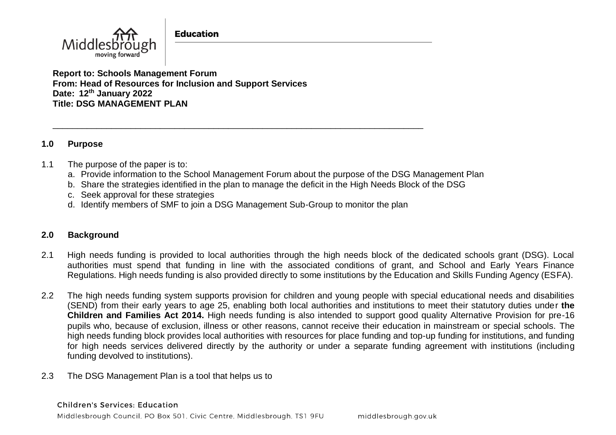**Education** 



**Report to: Schools Management Forum From: Head of Resources for Inclusion and Support Services Date: 12th January 2022 Title: DSG MANAGEMENT PLAN** 

### **1.0 Purpose**

### 1.1 The purpose of the paper is to:

- a. Provide information to the School Management Forum about the purpose of the DSG Management Plan
- b. Share the strategies identified in the plan to manage the deficit in the High Needs Block of the DSG
- c. Seek approval for these strategies
- d. Identify members of SMF to join a DSG Management Sub-Group to monitor the plan

\_\_\_\_\_\_\_\_\_\_\_\_\_\_\_\_\_\_\_\_\_\_\_\_\_\_\_\_\_\_\_\_\_\_\_\_\_\_\_\_\_\_\_\_\_\_\_\_\_\_\_\_\_\_\_\_\_\_\_\_\_\_\_\_\_\_\_\_\_\_\_\_\_\_\_\_

## **2.0 Background**

- 2.1 High needs funding is provided to local authorities through the high needs block of the dedicated schools grant (DSG). Local authorities must spend that funding in line with the associated conditions of grant, and School and Early Years Finance Regulations. High needs funding is also provided directly to some institutions by the Education and Skills Funding Agency (ESFA).
- 2.2 The high needs funding system supports provision for children and young people with special educational needs and disabilities (SEND) from their early years to age 25, enabling both local authorities and institutions to meet their statutory duties under **the Children and Families Act 2014.** High needs funding is also intended to support good quality Alternative Provision for pre-16 pupils who, because of exclusion, illness or other reasons, cannot receive their education in mainstream or special schools. The high needs funding block provides local authorities with resources for place funding and top-up funding for institutions, and funding for high needs services delivered directly by the authority or under a separate funding agreement with institutions (including funding devolved to institutions).
- 2.3 The DSG Management Plan is a tool that helps us to

#### **Children's Services: Education**

Middlesbrough Council, PO Box 501, Civic Centre, Middlesbrough, TS1 9FU middlesbrough.gov.uk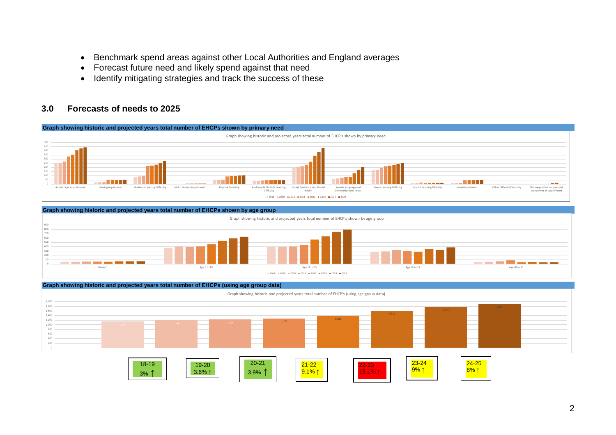- Benchmark spend areas against other Local Authorities and England averages
- Forecast future need and likely spend against that need
- Identify mitigating strategies and track the success of these

#### **3.0 Forecasts of needs to 2025**







Under 5 Age 11 to 15 Age 11 to 15 Age 11 to 15 Age 16 to 19 Age 16 to 19 Age 16 to 19 Age 16 to 19 Age 20 to 25

2018 2019 2020 2021 2022 2023 2024 2025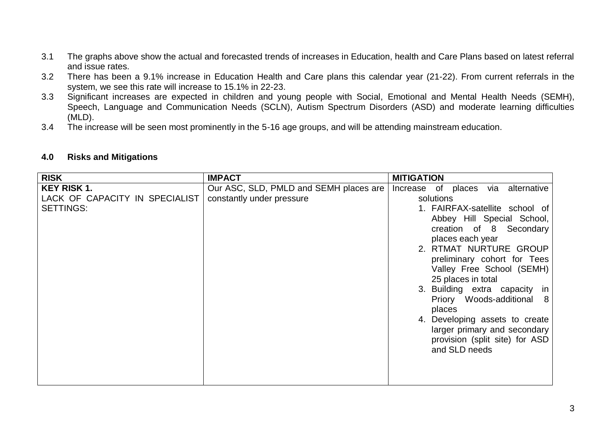- 3.1 The graphs above show the actual and forecasted trends of increases in Education, health and Care Plans based on latest referral and issue rates.
- 3.2 There has been a 9.1% increase in Education Health and Care plans this calendar year (21-22). From current referrals in the system, we see this rate will increase to 15.1% in 22-23.
- 3.3 Significant increases are expected in children and young people with Social, Emotional and Mental Health Needs (SEMH), Speech, Language and Communication Needs (SCLN), Autism Spectrum Disorders (ASD) and moderate learning difficulties (MLD).
- 3.4 The increase will be seen most prominently in the 5-16 age groups, and will be attending mainstream education.

| <b>RISK</b>                    | <b>IMPACT</b>                          | <b>MITIGATION</b>                               |  |  |  |
|--------------------------------|----------------------------------------|-------------------------------------------------|--|--|--|
| <b>KEY RISK 1.</b>             | Our ASC, SLD, PMLD and SEMH places are | Increase of places via alternative              |  |  |  |
| LACK OF CAPACITY IN SPECIALIST | constantly under pressure              | solutions                                       |  |  |  |
| <b>SETTINGS:</b>               |                                        | 1. FAIRFAX-satellite school of                  |  |  |  |
|                                |                                        | Abbey Hill Special School,                      |  |  |  |
|                                |                                        | creation of 8 Secondary                         |  |  |  |
|                                |                                        | places each year                                |  |  |  |
|                                |                                        | 2. RTMAT NURTURE GROUP                          |  |  |  |
|                                |                                        | preliminary cohort for Tees                     |  |  |  |
|                                |                                        | Valley Free School (SEMH)                       |  |  |  |
|                                |                                        | 25 places in total                              |  |  |  |
|                                |                                        | 3. Building extra capacity in                   |  |  |  |
|                                |                                        | Priory Woods-additional<br>8 <sup>8</sup>       |  |  |  |
|                                |                                        | places                                          |  |  |  |
|                                |                                        | 4. Developing assets to create                  |  |  |  |
|                                |                                        | larger primary and secondary                    |  |  |  |
|                                |                                        | provision (split site) for ASD<br>and SLD needs |  |  |  |
|                                |                                        |                                                 |  |  |  |
|                                |                                        |                                                 |  |  |  |
|                                |                                        |                                                 |  |  |  |
|                                |                                        |                                                 |  |  |  |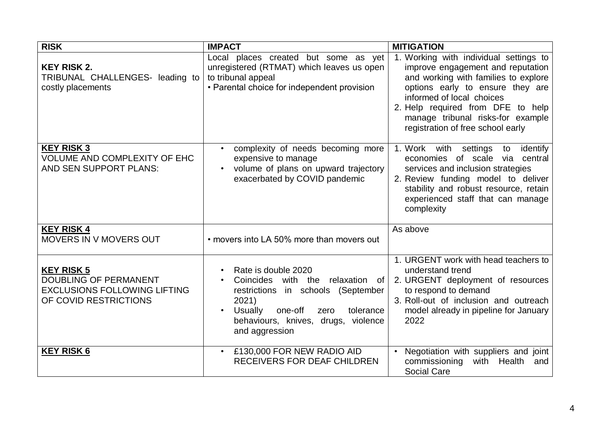| <b>RISK</b>                                                                                                       | <b>IMPACT</b>                                                                                                                                                                                                    | <b>MITIGATION</b>                                                                                                                                                                                                                                                                                   |  |  |
|-------------------------------------------------------------------------------------------------------------------|------------------------------------------------------------------------------------------------------------------------------------------------------------------------------------------------------------------|-----------------------------------------------------------------------------------------------------------------------------------------------------------------------------------------------------------------------------------------------------------------------------------------------------|--|--|
| <b>KEY RISK 2.</b><br>TRIBUNAL CHALLENGES- leading to<br>costly placements                                        | Local places created but some as yet<br>unregistered (RTMAT) which leaves us open<br>to tribunal appeal<br>• Parental choice for independent provision                                                           | 1. Working with individual settings to<br>improve engagement and reputation<br>and working with families to explore<br>options early to ensure they are<br>informed of local choices<br>2. Help required from DFE to help<br>manage tribunal risks-for example<br>registration of free school early |  |  |
| <b>KEY RISK 3</b><br>VOLUME AND COMPLEXITY OF EHC<br>AND SEN SUPPORT PLANS:                                       | complexity of needs becoming more<br>expensive to manage<br>volume of plans on upward trajectory<br>exacerbated by COVID pandemic                                                                                | 1. Work with settings to<br>identify<br>economies of scale via central<br>services and inclusion strategies<br>2. Review funding model to deliver<br>stability and robust resource, retain<br>experienced staff that can manage<br>complexity                                                       |  |  |
| <b>KEY RISK 4</b><br><b>MOVERS IN V MOVERS OUT</b>                                                                | • movers into LA 50% more than movers out                                                                                                                                                                        | As above                                                                                                                                                                                                                                                                                            |  |  |
| <b>KEY RISK 5</b><br><b>DOUBLING OF PERMANENT</b><br><b>EXCLUSIONS FOLLOWING LIFTING</b><br>OF COVID RESTRICTIONS | Rate is double 2020<br>Coincides with the<br>relaxation of<br>in schools (September<br>restrictions<br>2021)<br>Usually<br>one-off<br>tolerance<br>zero<br>behaviours, knives, drugs, violence<br>and aggression | 1. URGENT work with head teachers to<br>understand trend<br>2. URGENT deployment of resources<br>to respond to demand<br>3. Roll-out of inclusion and outreach<br>model already in pipeline for January<br>2022                                                                                     |  |  |
| <b>KEY RISK 6</b>                                                                                                 | • £130,000 FOR NEW RADIO AID<br><b>RECEIVERS FOR DEAF CHILDREN</b>                                                                                                                                               | • Negotiation with suppliers and joint<br>commissioning<br>with<br>Health<br>and<br><b>Social Care</b>                                                                                                                                                                                              |  |  |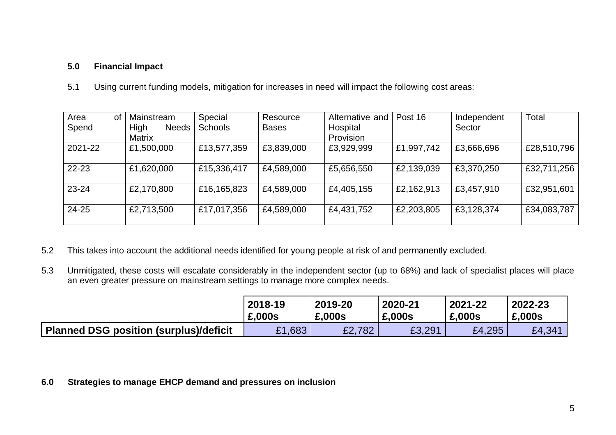# **5.0 Financial Impact**

5.1 Using current funding models, mitigation for increases in need will impact the following cost areas:

| Area<br><b>of</b> | Mainstream           | Special        | Resource     | Alternative and | Post 16    | Independent | Total       |
|-------------------|----------------------|----------------|--------------|-----------------|------------|-------------|-------------|
| Spend             | High<br><b>Needs</b> | <b>Schools</b> | <b>Bases</b> | Hospital        |            | Sector      |             |
|                   | Matrix               |                |              | Provision       |            |             |             |
| 2021-22           | £1,500,000           | £13,577,359    | £3,839,000   | £3,929,999      | £1,997,742 | £3,666,696  | £28,510,796 |
| $22 - 23$         | £1,620,000           | £15,336,417    | £4,589,000   | £5,656,550      | £2,139,039 | £3,370,250  | £32,711,256 |
| 23-24             | £2,170,800           | £16,165,823    | £4,589,000   | £4,405,155      | £2,162,913 | £3,457,910  | £32,951,601 |
| 24-25             | £2,713,500           | £17,017,356    | £4,589,000   | £4,431,752      | £2,203,805 | £3,128,374  | £34,083,787 |

- 5.2 This takes into account the additional needs identified for young people at risk of and permanently excluded.
- 5.3 Unmitigated, these costs will escalate considerably in the independent sector (up to 68%) and lack of specialist places will place an even greater pressure on mainstream settings to manage more complex needs.

|                                        | 2018-19 | 2019-20     | 2020-21 | 2021-22 | 2022-23 |
|----------------------------------------|---------|-------------|---------|---------|---------|
|                                        | £,000s  | £,000s      | £,000s  | £,000s  | £,000s  |
| Planned DSG position (surplus)/deficit | £1,683  | E2.<br>.782 | £3,291  | £4,295  | £4,341  |

**6.0 Strategies to manage EHCP demand and pressures on inclusion**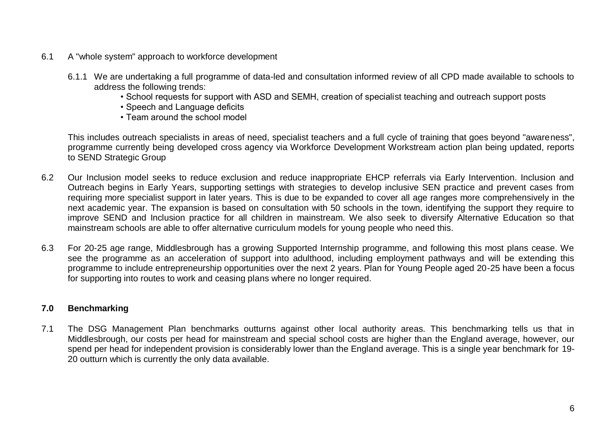- 6.1 A "whole system" approach to workforce development
	- 6.1.1 We are undertaking a full programme of data-led and consultation informed review of all CPD made available to schools to address the following trends:
		- School requests for support with ASD and SEMH, creation of specialist teaching and outreach support posts
		- Speech and Language deficits
		- Team around the school model

This includes outreach specialists in areas of need, specialist teachers and a full cycle of training that goes beyond "awareness", programme currently being developed cross agency via Workforce Development Workstream action plan being updated, reports to SEND Strategic Group

- 6.2 Our Inclusion model seeks to reduce exclusion and reduce inappropriate EHCP referrals via Early Intervention. Inclusion and Outreach begins in Early Years, supporting settings with strategies to develop inclusive SEN practice and prevent cases from requiring more specialist support in later years. This is due to be expanded to cover all age ranges more comprehensively in the next academic year. The expansion is based on consultation with 50 schools in the town, identifying the support they require to improve SEND and Inclusion practice for all children in mainstream. We also seek to diversify Alternative Education so that mainstream schools are able to offer alternative curriculum models for young people who need this.
- 6.3 For 20-25 age range, Middlesbrough has a growing Supported Internship programme, and following this most plans cease. We see the programme as an acceleration of support into adulthood, including employment pathways and will be extending this programme to include entrepreneurship opportunities over the next 2 years. Plan for Young People aged 20-25 have been a focus for supporting into routes to work and ceasing plans where no longer required.

## **7.0 Benchmarking**

7.1 The DSG Management Plan benchmarks outturns against other local authority areas. This benchmarking tells us that in Middlesbrough, our costs per head for mainstream and special school costs are higher than the England average, however, our spend per head for independent provision is considerably lower than the England average. This is a single year benchmark for 19- 20 outturn which is currently the only data available.